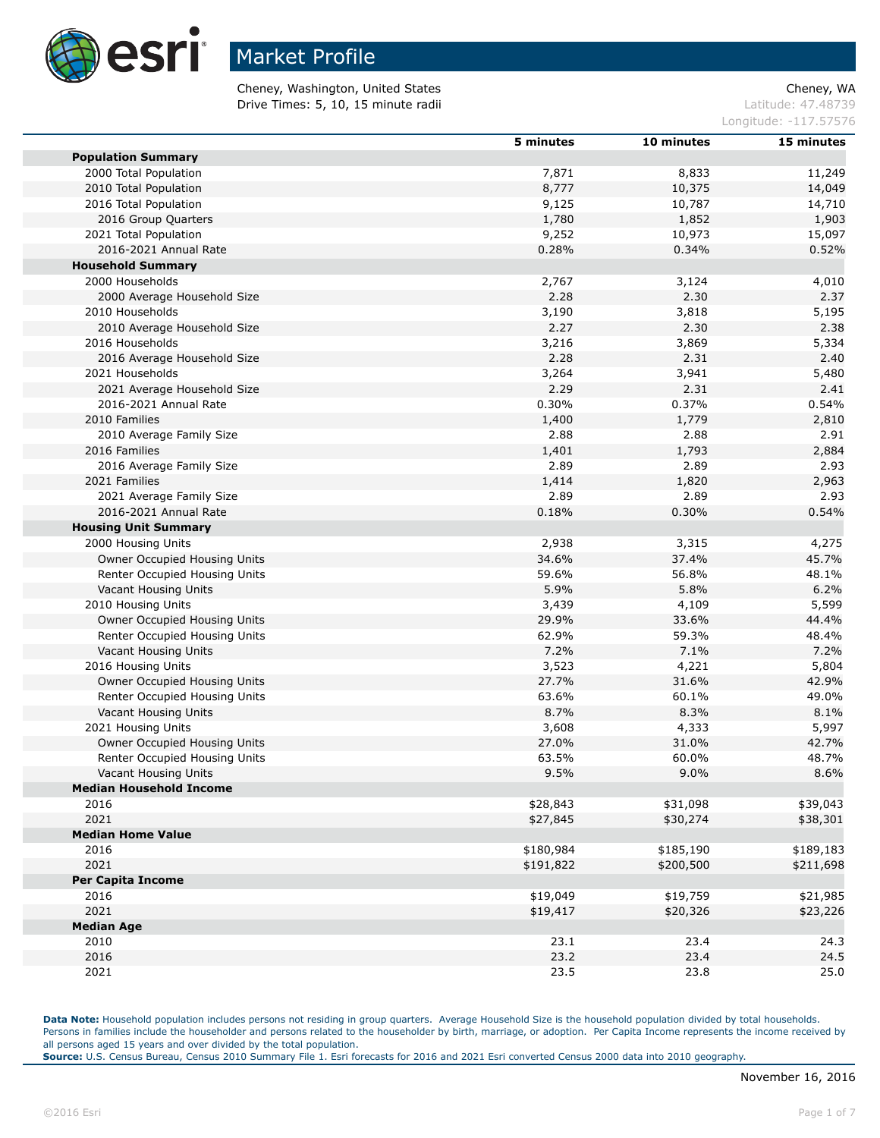

Cheney, Washington, United States Cheney, WA **Drive Times: 5, 10, 15 minute radii Latitude: 47.48739** 

Longitude: -117.57576

|                                | 5 minutes | 10 minutes | 15 minutes |
|--------------------------------|-----------|------------|------------|
| <b>Population Summary</b>      |           |            |            |
| 2000 Total Population          | 7,871     | 8,833      | 11,249     |
| 2010 Total Population          | 8,777     | 10,375     | 14,049     |
| 2016 Total Population          | 9,125     | 10,787     | 14,710     |
| 2016 Group Quarters            | 1,780     | 1,852      | 1,903      |
| 2021 Total Population          | 9,252     | 10,973     | 15,097     |
| 2016-2021 Annual Rate          | 0.28%     | 0.34%      | 0.52%      |
| <b>Household Summary</b>       |           |            |            |
| 2000 Households                | 2,767     | 3,124      | 4,010      |
| 2000 Average Household Size    | 2.28      | 2.30       | 2.37       |
| 2010 Households                | 3,190     | 3,818      | 5,195      |
| 2010 Average Household Size    | 2.27      | 2.30       | 2.38       |
| 2016 Households                | 3,216     | 3,869      | 5,334      |
| 2016 Average Household Size    | 2.28      | 2.31       | 2.40       |
| 2021 Households                | 3,264     | 3,941      | 5,480      |
| 2021 Average Household Size    | 2.29      | 2.31       | 2.41       |
| 2016-2021 Annual Rate          | 0.30%     | 0.37%      | 0.54%      |
| 2010 Families                  | 1,400     | 1,779      | 2,810      |
| 2010 Average Family Size       | 2.88      | 2.88       | 2.91       |
| 2016 Families                  | 1,401     | 1,793      | 2,884      |
| 2016 Average Family Size       | 2.89      | 2.89       | 2.93       |
| 2021 Families                  | 1,414     | 1,820      | 2,963      |
| 2021 Average Family Size       | 2.89      | 2.89       | 2.93       |
| 2016-2021 Annual Rate          | 0.18%     | 0.30%      | 0.54%      |
| <b>Housing Unit Summary</b>    |           |            |            |
| 2000 Housing Units             | 2,938     | 3,315      | 4,275      |
| Owner Occupied Housing Units   | 34.6%     | 37.4%      | 45.7%      |
| Renter Occupied Housing Units  | 59.6%     | 56.8%      | 48.1%      |
| Vacant Housing Units           | 5.9%      | 5.8%       | 6.2%       |
| 2010 Housing Units             | 3,439     | 4,109      | 5,599      |
| Owner Occupied Housing Units   | 29.9%     | 33.6%      | 44.4%      |
| Renter Occupied Housing Units  | 62.9%     | 59.3%      | 48.4%      |
| Vacant Housing Units           | 7.2%      | 7.1%       | 7.2%       |
| 2016 Housing Units             | 3,523     | 4,221      | 5,804      |
| Owner Occupied Housing Units   | 27.7%     | 31.6%      | 42.9%      |
| Renter Occupied Housing Units  | 63.6%     | 60.1%      | 49.0%      |
| Vacant Housing Units           | 8.7%      | 8.3%       | 8.1%       |
| 2021 Housing Units             | 3,608     | 4,333      | 5,997      |
| Owner Occupied Housing Units   | 27.0%     | 31.0%      | 42.7%      |
| Renter Occupied Housing Units  | 63.5%     | 60.0%      | 48.7%      |
| Vacant Housing Units           | 9.5%      | 9.0%       | 8.6%       |
| <b>Median Household Income</b> |           |            |            |
| 2016                           | \$28,843  | \$31,098   | \$39,043   |
| 2021                           | \$27,845  | \$30,274   | \$38,301   |
| <b>Median Home Value</b>       |           |            |            |
| 2016                           | \$180,984 | \$185,190  | \$189,183  |
| 2021                           | \$191,822 | \$200,500  | \$211,698  |
| <b>Per Capita Income</b>       |           |            |            |
| 2016                           | \$19,049  | \$19,759   | \$21,985   |
| 2021                           | \$19,417  | \$20,326   | \$23,226   |
| <b>Median Age</b>              |           |            |            |
| 2010                           | 23.1      | 23.4       | 24.3       |
| 2016                           | 23.2      | 23.4       | 24.5       |
| 2021                           | 23.5      | 23.8       | 25.0       |

Data Note: Household population includes persons not residing in group quarters. Average Household Size is the household population divided by total households. Persons in families include the householder and persons related to the householder by birth, marriage, or adoption. Per Capita Income represents the income received by all persons aged 15 years and over divided by the total population.

**Source:** U.S. Census Bureau, Census 2010 Summary File 1. Esri forecasts for 2016 and 2021 Esri converted Census 2000 data into 2010 geography.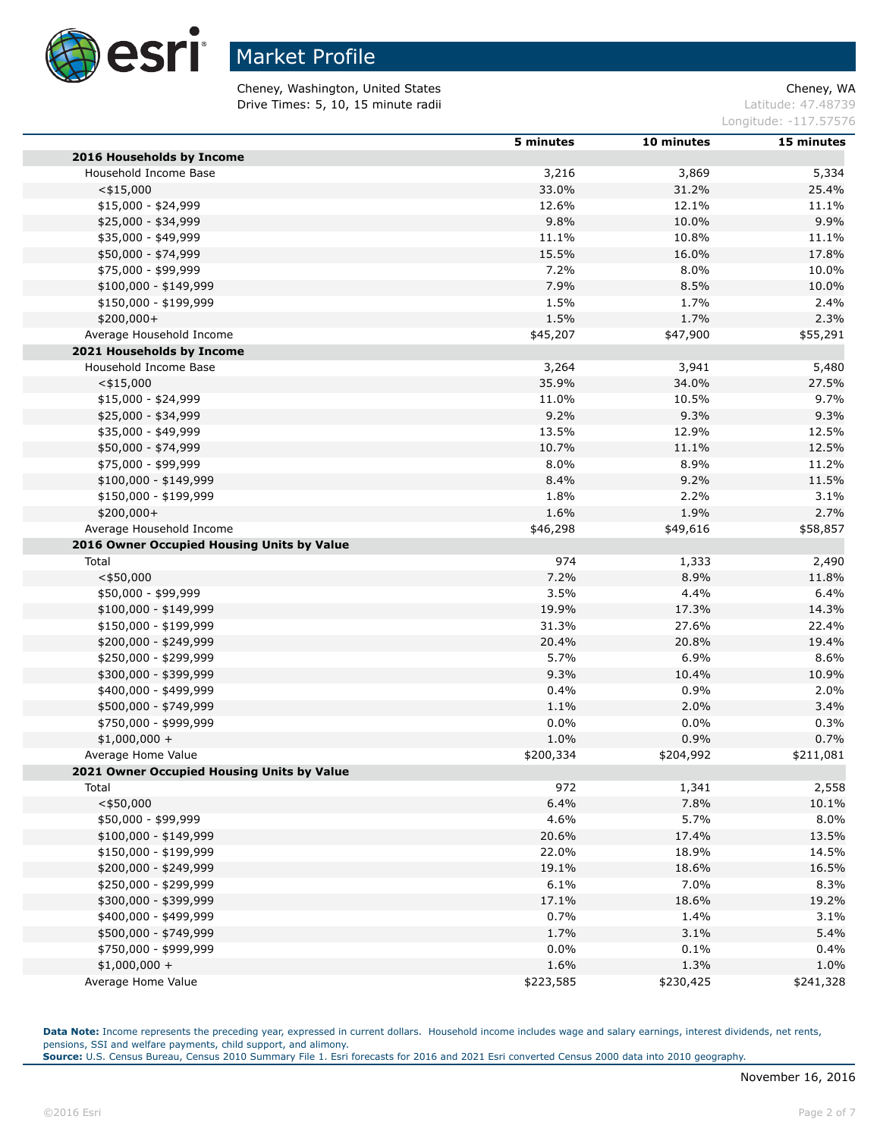

Cheney, Washington, United States Cheney, WA **Drive Times: 5, 10, 15 minute radii Latitude: 47.48739** 

Longitude: -117.57576

|                                                | 5 minutes | 10 minutes | 15 minutes |
|------------------------------------------------|-----------|------------|------------|
| 2016 Households by Income                      |           |            |            |
| Household Income Base                          | 3,216     | 3,869      | 5,334      |
| $<$ \$15,000                                   | 33.0%     | 31.2%      | 25.4%      |
| \$15,000 - \$24,999                            | 12.6%     | 12.1%      | 11.1%      |
| \$25,000 - \$34,999                            | 9.8%      | 10.0%      | 9.9%       |
| \$35,000 - \$49,999                            | 11.1%     | 10.8%      | 11.1%      |
| \$50,000 - \$74,999                            | 15.5%     | 16.0%      | 17.8%      |
| \$75,000 - \$99,999                            | 7.2%      | 8.0%       | 10.0%      |
| \$100,000 - \$149,999                          | 7.9%      | 8.5%       | 10.0%      |
| \$150,000 - \$199,999                          | 1.5%      | 1.7%       | 2.4%       |
| \$200,000+                                     | 1.5%      | 1.7%       | 2.3%       |
| Average Household Income                       | \$45,207  | \$47,900   | \$55,291   |
| 2021 Households by Income                      |           |            |            |
| Household Income Base                          | 3,264     | 3,941      | 5,480      |
| $<$ \$15,000                                   | 35.9%     | 34.0%      | 27.5%      |
| \$15,000 - \$24,999                            | 11.0%     | 10.5%      | 9.7%       |
| \$25,000 - \$34,999                            | 9.2%      | 9.3%       | 9.3%       |
| \$35,000 - \$49,999                            | 13.5%     | 12.9%      | 12.5%      |
| \$50,000 - \$74,999                            | 10.7%     | 11.1%      | 12.5%      |
| \$75,000 - \$99,999                            | 8.0%      | 8.9%       | 11.2%      |
| \$100,000 - \$149,999                          | 8.4%      | 9.2%       | 11.5%      |
| \$150,000 - \$199,999                          | 1.8%      | 2.2%       | 3.1%       |
| \$200,000+                                     | 1.6%      | 1.9%       | 2.7%       |
| Average Household Income                       | \$46,298  | \$49,616   | \$58,857   |
| 2016 Owner Occupied Housing Units by Value     |           |            |            |
| Total                                          | 974       | 1,333      | 2,490      |
| $<$ \$50,000                                   | 7.2%      | 8.9%       | 11.8%      |
| \$50,000 - \$99,999                            | 3.5%      | 4.4%       | 6.4%       |
| \$100,000 - \$149,999                          | 19.9%     | 17.3%      | 14.3%      |
| \$150,000 - \$199,999                          | 31.3%     | 27.6%      | 22.4%      |
| \$200,000 - \$249,999                          | 20.4%     | 20.8%      | 19.4%      |
| \$250,000 - \$299,999                          | 5.7%      | 6.9%       | 8.6%       |
|                                                | 9.3%      | 10.4%      | 10.9%      |
| \$300,000 - \$399,999<br>\$400,000 - \$499,999 | 0.4%      | 0.9%       | 2.0%       |
| \$500,000 - \$749,999                          | 1.1%      | 2.0%       | 3.4%       |
|                                                | 0.0%      |            |            |
| \$750,000 - \$999,999                          |           | 0.0%       | 0.3%       |
| $$1,000,000 +$                                 | 1.0%      | 0.9%       | 0.7%       |
| Average Home Value                             | \$200,334 | \$204,992  | \$211,081  |
| 2021 Owner Occupied Housing Units by Value     |           |            |            |
| Total                                          | 972       | 1,341      | 2,558      |
| $<$ \$50,000                                   | 6.4%      | 7.8%       | 10.1%      |
| \$50,000 - \$99,999                            | 4.6%      | 5.7%       | 8.0%       |
| \$100,000 - \$149,999                          | 20.6%     | 17.4%      | 13.5%      |
| \$150,000 - \$199,999                          | 22.0%     | 18.9%      | 14.5%      |
| \$200,000 - \$249,999                          | 19.1%     | 18.6%      | 16.5%      |
| \$250,000 - \$299,999                          | 6.1%      | 7.0%       | 8.3%       |
| \$300,000 - \$399,999                          | 17.1%     | 18.6%      | 19.2%      |
| \$400,000 - \$499,999                          | 0.7%      | 1.4%       | 3.1%       |
| \$500,000 - \$749,999                          | 1.7%      | 3.1%       | 5.4%       |
| \$750,000 - \$999,999                          | 0.0%      | 0.1%       | 0.4%       |
| $$1,000,000 +$                                 | 1.6%      | 1.3%       | 1.0%       |
| Average Home Value                             | \$223,585 | \$230,425  | \$241,328  |

Data Note: Income represents the preceding year, expressed in current dollars. Household income includes wage and salary earnings, interest dividends, net rents, pensions, SSI and welfare payments, child support, and alimony.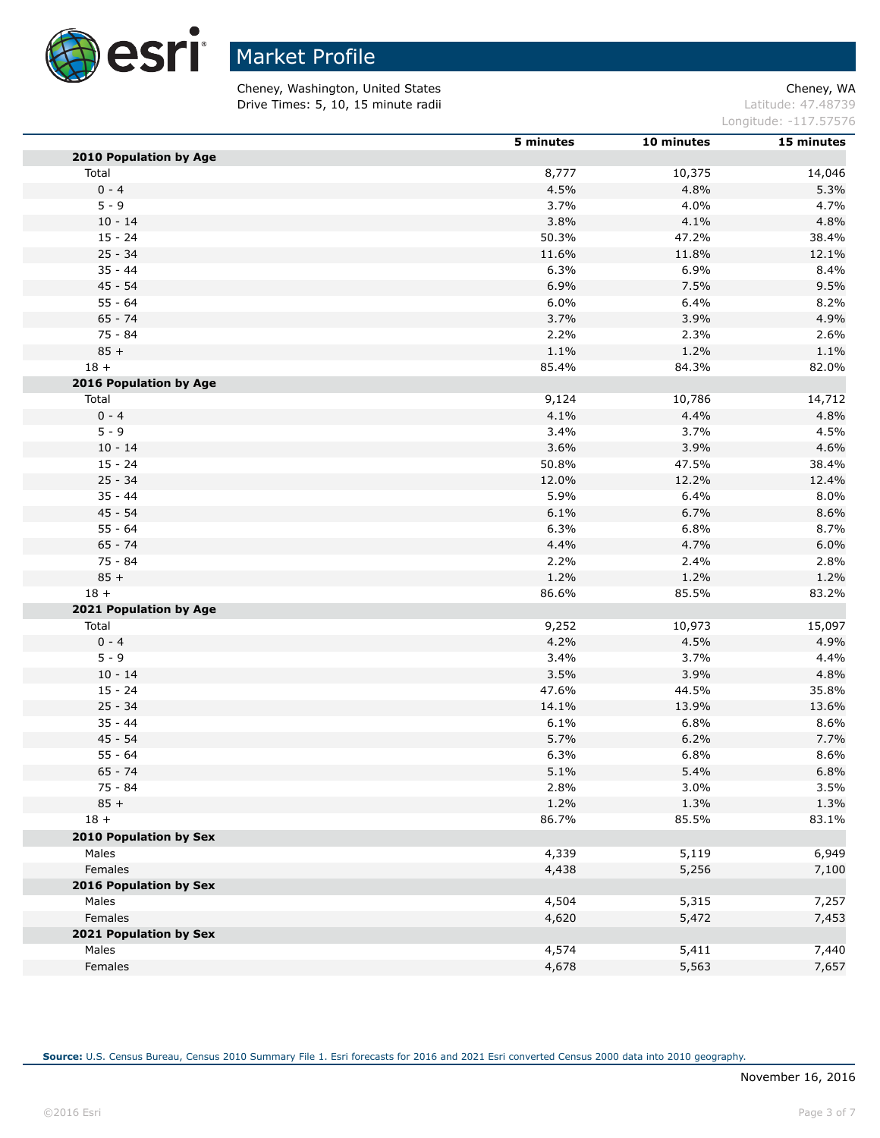

Cheney, Washington, United States Cheney, WA **Drive Times: 5, 10, 15 minute radii Latitude: 47.48739** 

Longitude: -117.57576

|                               | 5 minutes | 10 minutes | 15 minutes |
|-------------------------------|-----------|------------|------------|
| <b>2010 Population by Age</b> |           |            |            |
| Total                         | 8,777     | 10,375     | 14,046     |
| $0 - 4$                       | 4.5%      | 4.8%       | 5.3%       |
| $5 - 9$                       | 3.7%      | 4.0%       | 4.7%       |
| $10 - 14$                     | 3.8%      | 4.1%       | 4.8%       |
| $15 - 24$                     | 50.3%     | 47.2%      | 38.4%      |
| $25 - 34$                     | 11.6%     | 11.8%      | 12.1%      |
| $35 - 44$                     | 6.3%      | 6.9%       | 8.4%       |
| $45 - 54$                     | 6.9%      | 7.5%       | 9.5%       |
| $55 - 64$                     | 6.0%      | 6.4%       | 8.2%       |
| $65 - 74$                     | 3.7%      | 3.9%       | 4.9%       |
| 75 - 84                       | 2.2%      | 2.3%       | 2.6%       |
| $85 +$                        | 1.1%      | 1.2%       | 1.1%       |
| $18 +$                        | 85.4%     | 84.3%      | 82.0%      |
| 2016 Population by Age        |           |            |            |
| Total                         | 9,124     | 10,786     | 14,712     |
| $0 - 4$                       | 4.1%      | 4.4%       | 4.8%       |
| $5 - 9$                       | 3.4%      | 3.7%       | 4.5%       |
| $10 - 14$                     | 3.6%      | 3.9%       | 4.6%       |
| $15 - 24$                     | 50.8%     | 47.5%      | 38.4%      |
| $25 - 34$                     | 12.0%     | 12.2%      | 12.4%      |
| $35 - 44$                     | 5.9%      | 6.4%       | 8.0%       |
| 45 - 54                       | 6.1%      | 6.7%       | 8.6%       |
| $55 - 64$                     | 6.3%      | 6.8%       | 8.7%       |
| $65 - 74$                     | 4.4%      | 4.7%       | 6.0%       |
| 75 - 84                       | 2.2%      | 2.4%       | 2.8%       |
| $85 +$                        | 1.2%      | 1.2%       | 1.2%       |
| $18 +$                        | 86.6%     | 85.5%      | 83.2%      |
| 2021 Population by Age        |           |            |            |
| Total                         | 9,252     | 10,973     | 15,097     |
| $0 - 4$                       | 4.2%      | 4.5%       | 4.9%       |
| $5 - 9$                       | 3.4%      | 3.7%       | 4.4%       |
| $10 - 14$                     | 3.5%      | 3.9%       | 4.8%       |
| $15 - 24$                     | 47.6%     | 44.5%      | 35.8%      |
| $25 - 34$                     | 14.1%     | 13.9%      | 13.6%      |
| $35 - 44$                     | 6.1%      | 6.8%       | 8.6%       |
| 45 - 54                       | 5.7%      | 6.2%       | 7.7%       |
| $55 - 64$                     | 6.3%      | 6.8%       | 8.6%       |
| $65 - 74$                     | 5.1%      | 5.4%       | 6.8%       |
| 75 - 84                       | 2.8%      | 3.0%       | 3.5%       |
| $85 +$                        | 1.2%      | 1.3%       | 1.3%       |
| $18 +$                        | 86.7%     | 85.5%      | 83.1%      |
| 2010 Population by Sex        |           |            |            |
| Males                         | 4,339     | 5,119      | 6,949      |
| Females                       | 4,438     | 5,256      | 7,100      |
| 2016 Population by Sex        |           |            |            |
| Males                         | 4,504     | 5,315      | 7,257      |
| Females                       | 4,620     | 5,472      | 7,453      |
| 2021 Population by Sex        |           |            |            |
| Males                         | 4,574     | 5,411      | 7,440      |
| Females                       | 4,678     | 5,563      | 7,657      |
|                               |           |            |            |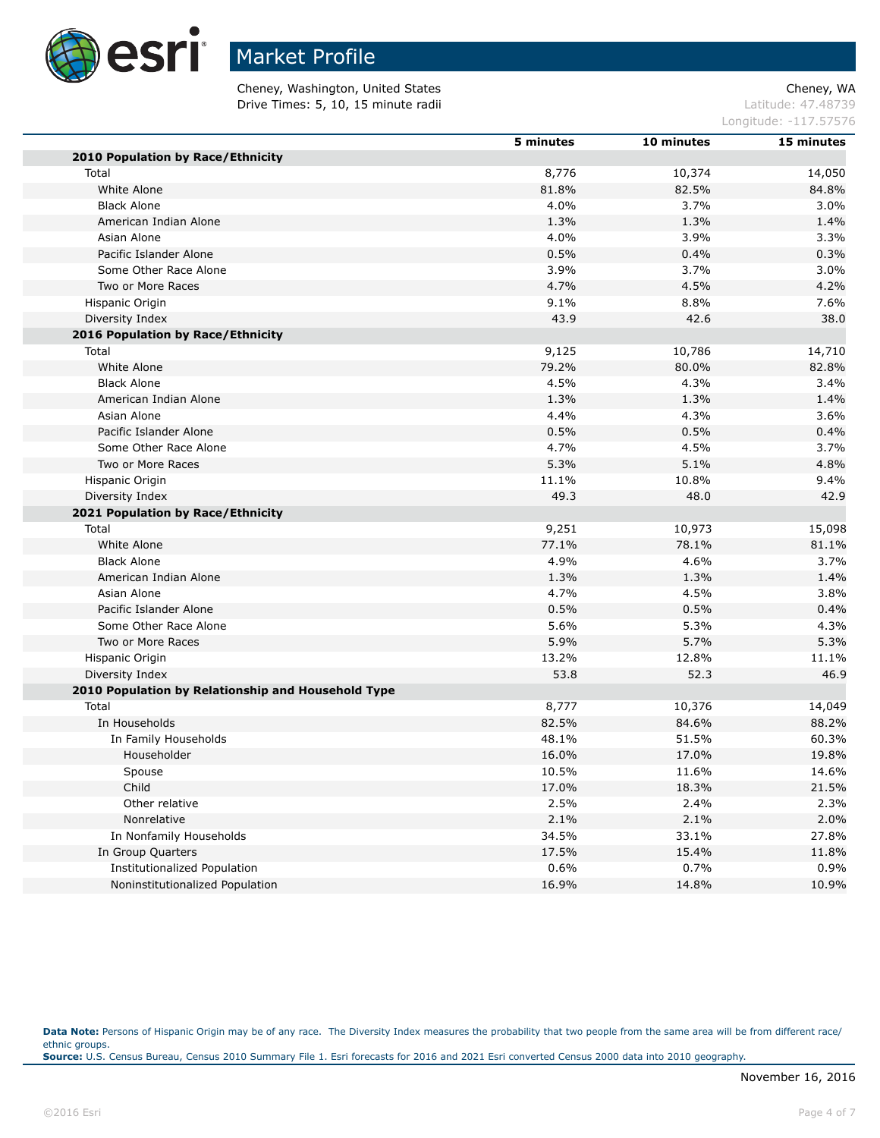

п

# Market Profile

Cheney, Washington, United States Cheney, WA **Drive Times: 5, 10, 15 minute radii Latitude: 47.48739** 

Longitude: -117.57576

|                                                    | 5 minutes | 10 minutes | 15 minutes |
|----------------------------------------------------|-----------|------------|------------|
| 2010 Population by Race/Ethnicity                  |           |            |            |
| Total                                              | 8,776     | 10,374     | 14,050     |
| White Alone                                        | 81.8%     | 82.5%      | 84.8%      |
| <b>Black Alone</b>                                 | 4.0%      | 3.7%       | 3.0%       |
| American Indian Alone                              | 1.3%      | 1.3%       | 1.4%       |
| Asian Alone                                        | 4.0%      | 3.9%       | 3.3%       |
| Pacific Islander Alone                             | 0.5%      | 0.4%       | 0.3%       |
| Some Other Race Alone                              | 3.9%      | 3.7%       | 3.0%       |
| Two or More Races                                  | 4.7%      | 4.5%       | 4.2%       |
| Hispanic Origin                                    | 9.1%      | 8.8%       | 7.6%       |
| Diversity Index                                    | 43.9      | 42.6       | 38.0       |
| 2016 Population by Race/Ethnicity                  |           |            |            |
| Total                                              | 9,125     | 10,786     | 14,710     |
| White Alone                                        | 79.2%     | 80.0%      | 82.8%      |
| <b>Black Alone</b>                                 | 4.5%      | 4.3%       | 3.4%       |
| American Indian Alone                              | 1.3%      | 1.3%       | 1.4%       |
| Asian Alone                                        | 4.4%      | 4.3%       | 3.6%       |
| Pacific Islander Alone                             | 0.5%      | 0.5%       | 0.4%       |
| Some Other Race Alone                              | 4.7%      | 4.5%       | 3.7%       |
| Two or More Races                                  | 5.3%      | 5.1%       | 4.8%       |
| Hispanic Origin                                    | 11.1%     | 10.8%      | 9.4%       |
| Diversity Index                                    | 49.3      | 48.0       | 42.9       |
| 2021 Population by Race/Ethnicity                  |           |            |            |
| Total                                              | 9,251     | 10,973     | 15,098     |
| White Alone                                        | 77.1%     | 78.1%      | 81.1%      |
| <b>Black Alone</b>                                 | 4.9%      | 4.6%       | 3.7%       |
| American Indian Alone                              | 1.3%      | 1.3%       | 1.4%       |
| Asian Alone                                        | 4.7%      | 4.5%       | 3.8%       |
| Pacific Islander Alone                             | 0.5%      | 0.5%       | 0.4%       |
| Some Other Race Alone                              | 5.6%      | 5.3%       | 4.3%       |
| Two or More Races                                  | 5.9%      | 5.7%       | 5.3%       |
| Hispanic Origin                                    | 13.2%     | 12.8%      | 11.1%      |
| Diversity Index                                    | 53.8      | 52.3       | 46.9       |
| 2010 Population by Relationship and Household Type |           |            |            |
| Total                                              | 8,777     | 10,376     | 14,049     |
| In Households                                      | 82.5%     | 84.6%      | 88.2%      |
| In Family Households                               | 48.1%     | 51.5%      | 60.3%      |
| Householder                                        | 16.0%     | 17.0%      | 19.8%      |
| Spouse                                             | 10.5%     | 11.6%      | 14.6%      |
| Child                                              | 17.0%     | 18.3%      | 21.5%      |
| Other relative                                     | 2.5%      | 2.4%       | 2.3%       |
| Nonrelative                                        | 2.1%      | 2.1%       | 2.0%       |
| In Nonfamily Households                            | 34.5%     | 33.1%      | 27.8%      |
| In Group Quarters                                  | 17.5%     | 15.4%      | 11.8%      |
| Institutionalized Population                       | 0.6%      | 0.7%       | 0.9%       |
| Noninstitutionalized Population                    | 16.9%     | 14.8%      | 10.9%      |
|                                                    |           |            |            |

Data Note: Persons of Hispanic Origin may be of any race. The Diversity Index measures the probability that two people from the same area will be from different race/ ethnic groups. **Source:** U.S. Census Bureau, Census 2010 Summary File 1. Esri forecasts for 2016 and 2021 Esri converted Census 2000 data into 2010 geography.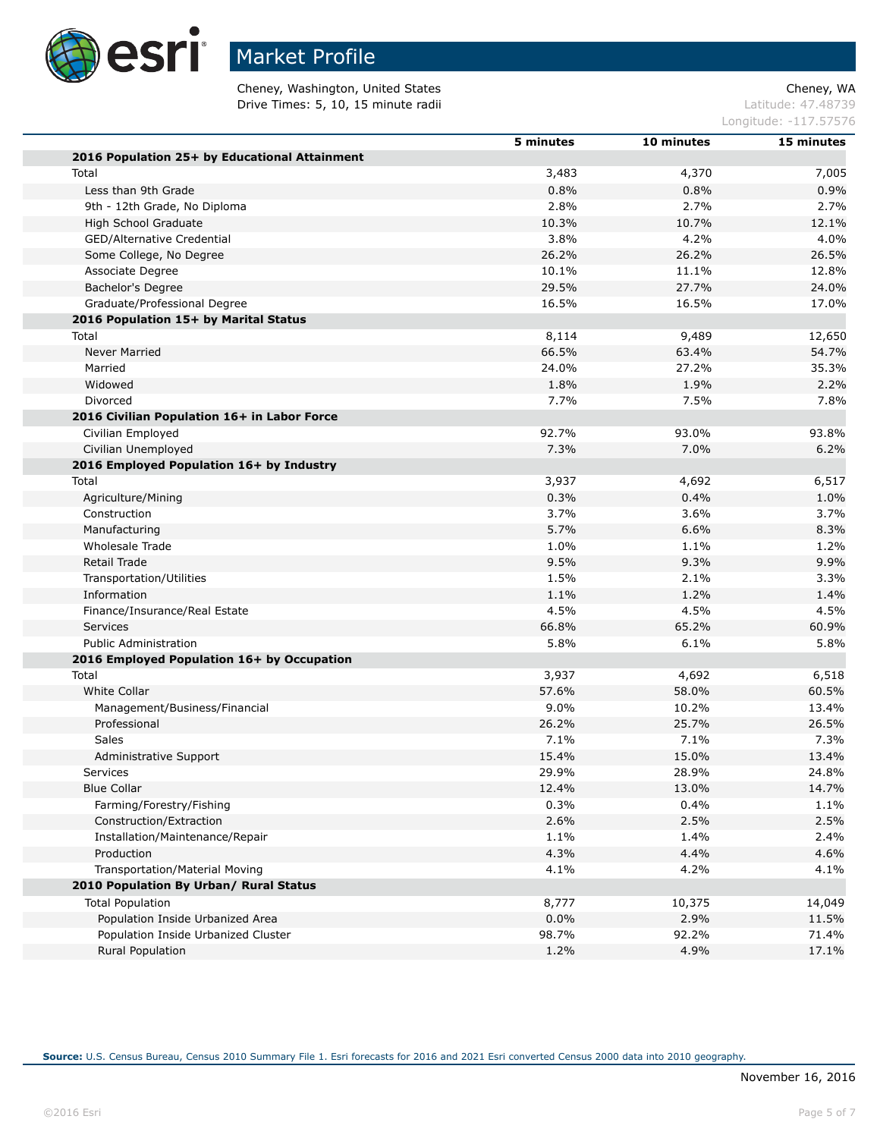

# Market Profile

Cheney, Washington, United States Cheney, WA **Drive Times: 5, 10, 15 minute radii Latitude: 47.48739** 

Longitude: -117.57576

|                                               | 5 minutes | 10 minutes | 15 minutes |
|-----------------------------------------------|-----------|------------|------------|
| 2016 Population 25+ by Educational Attainment |           |            |            |
| Total                                         | 3,483     | 4,370      | 7,005      |
| Less than 9th Grade                           | 0.8%      | 0.8%       | 0.9%       |
| 9th - 12th Grade, No Diploma                  | 2.8%      | 2.7%       | 2.7%       |
| High School Graduate                          | 10.3%     | 10.7%      | 12.1%      |
| <b>GED/Alternative Credential</b>             | 3.8%      | 4.2%       | 4.0%       |
| Some College, No Degree                       | 26.2%     | 26.2%      | 26.5%      |
| Associate Degree                              | 10.1%     | 11.1%      | 12.8%      |
| Bachelor's Degree                             | 29.5%     | 27.7%      | 24.0%      |
| Graduate/Professional Degree                  | 16.5%     | 16.5%      | 17.0%      |
| 2016 Population 15+ by Marital Status         |           |            |            |
| Total                                         | 8,114     | 9,489      | 12,650     |
| Never Married                                 | 66.5%     | 63.4%      | 54.7%      |
| Married                                       | 24.0%     | 27.2%      | 35.3%      |
| Widowed                                       | 1.8%      | 1.9%       | 2.2%       |
| Divorced                                      | 7.7%      | 7.5%       | 7.8%       |
| 2016 Civilian Population 16+ in Labor Force   |           |            |            |
| Civilian Employed                             | 92.7%     | 93.0%      | 93.8%      |
| Civilian Unemployed                           | 7.3%      | 7.0%       | 6.2%       |
| 2016 Employed Population 16+ by Industry      |           |            |            |
| Total                                         | 3,937     | 4,692      | 6,517      |
| Agriculture/Mining                            | 0.3%      | 0.4%       | 1.0%       |
| Construction                                  | 3.7%      | 3.6%       | 3.7%       |
| Manufacturing                                 | 5.7%      | 6.6%       | 8.3%       |
| Wholesale Trade                               | 1.0%      | 1.1%       | 1.2%       |
| <b>Retail Trade</b>                           | 9.5%      | 9.3%       | 9.9%       |
| Transportation/Utilities                      | 1.5%      | 2.1%       | 3.3%       |
| Information                                   | 1.1%      | 1.2%       | 1.4%       |
| Finance/Insurance/Real Estate                 | 4.5%      | 4.5%       | 4.5%       |
| <b>Services</b>                               | 66.8%     | 65.2%      | 60.9%      |
| <b>Public Administration</b>                  | 5.8%      | 6.1%       | 5.8%       |
| 2016 Employed Population 16+ by Occupation    |           |            |            |
| Total                                         | 3,937     | 4,692      | 6,518      |
| White Collar                                  | 57.6%     | 58.0%      | 60.5%      |
| Management/Business/Financial                 | 9.0%      | 10.2%      | 13.4%      |
| Professional                                  | 26.2%     | 25.7%      | 26.5%      |
| Sales                                         | 7.1%      | 7.1%       | 7.3%       |
| Administrative Support                        | 15.4%     | 15.0%      | 13.4%      |
| Services                                      | 29.9%     | 28.9%      | 24.8%      |
| <b>Blue Collar</b>                            | 12.4%     | 13.0%      | 14.7%      |
| Farming/Forestry/Fishing                      | 0.3%      | 0.4%       | 1.1%       |
| Construction/Extraction                       | 2.6%      | 2.5%       | 2.5%       |
| Installation/Maintenance/Repair               | 1.1%      | 1.4%       | 2.4%       |
| Production                                    | 4.3%      | 4.4%       | 4.6%       |
| Transportation/Material Moving                | 4.1%      | 4.2%       | 4.1%       |
| 2010 Population By Urban/ Rural Status        |           |            |            |
| <b>Total Population</b>                       | 8,777     | 10,375     | 14,049     |
| Population Inside Urbanized Area              | 0.0%      | 2.9%       | 11.5%      |
| Population Inside Urbanized Cluster           | 98.7%     | 92.2%      | 71.4%      |
| Rural Population                              | 1.2%      | 4.9%       | 17.1%      |
|                                               |           |            |            |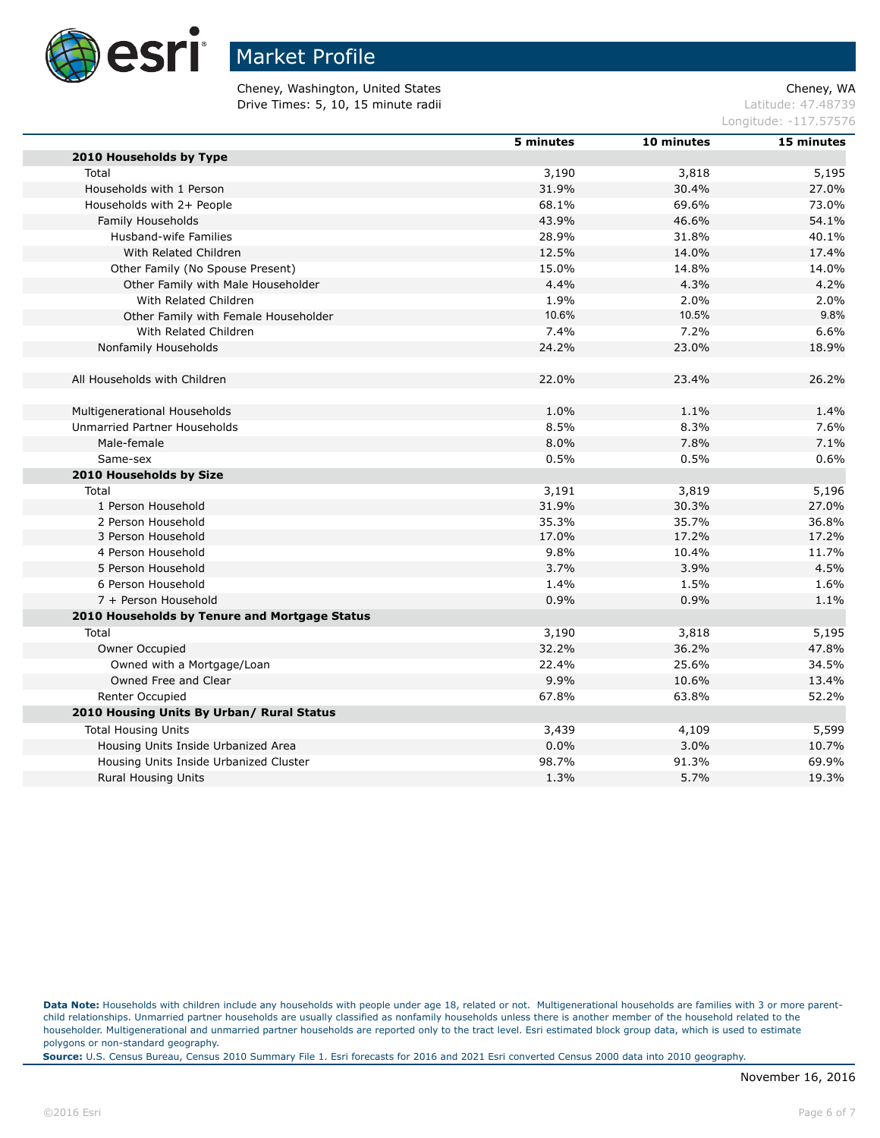

Cheney, Washington, United States Cheney, WA **Drive Times: 5, 10, 15 minute radii Latitude: 47.48739** 

Longitude: -117.57576

|                                               | 5 minutes | 10 minutes | 15 minutes |
|-----------------------------------------------|-----------|------------|------------|
| 2010 Households by Type                       |           |            |            |
| Total                                         | 3,190     | 3,818      | 5,195      |
| Households with 1 Person                      | 31.9%     | 30.4%      | 27.0%      |
| Households with 2+ People                     | 68.1%     | 69.6%      | 73.0%      |
| Family Households                             | 43.9%     | 46.6%      | 54.1%      |
| Husband-wife Families                         | 28.9%     | 31.8%      | 40.1%      |
| With Related Children                         | 12.5%     | 14.0%      | 17.4%      |
| Other Family (No Spouse Present)              | 15.0%     | 14.8%      | 14.0%      |
| Other Family with Male Householder            | 4.4%      | 4.3%       | 4.2%       |
| With Related Children                         | 1.9%      | 2.0%       | 2.0%       |
| Other Family with Female Householder          | 10.6%     | 10.5%      | 9.8%       |
| With Related Children                         | 7.4%      | 7.2%       | 6.6%       |
| Nonfamily Households                          | 24.2%     | 23.0%      | 18.9%      |
| All Households with Children                  | 22.0%     | 23.4%      | 26.2%      |
|                                               |           |            |            |
| Multigenerational Households                  | 1.0%      | 1.1%       | 1.4%       |
| Unmarried Partner Households                  | 8.5%      | 8.3%       | 7.6%       |
| Male-female                                   | 8.0%      | 7.8%       | 7.1%       |
| Same-sex                                      | 0.5%      | 0.5%       | 0.6%       |
| 2010 Households by Size                       |           |            |            |
| Total                                         | 3,191     | 3,819      | 5,196      |
| 1 Person Household                            | 31.9%     | 30.3%      | 27.0%      |
| 2 Person Household                            | 35.3%     | 35.7%      | 36.8%      |
| 3 Person Household                            | 17.0%     | 17.2%      | 17.2%      |
| 4 Person Household                            | 9.8%      | 10.4%      | 11.7%      |
| 5 Person Household                            | 3.7%      | 3.9%       | 4.5%       |
| 6 Person Household                            | 1.4%      | 1.5%       | 1.6%       |
| 7 + Person Household                          | 0.9%      | 0.9%       | 1.1%       |
| 2010 Households by Tenure and Mortgage Status |           |            |            |
| Total                                         | 3,190     | 3,818      | 5,195      |
| Owner Occupied                                | 32.2%     | 36.2%      | 47.8%      |
| Owned with a Mortgage/Loan                    | 22.4%     | 25.6%      | 34.5%      |
| Owned Free and Clear                          | 9.9%      | 10.6%      | 13.4%      |
| Renter Occupied                               | 67.8%     | 63.8%      | 52.2%      |
| 2010 Housing Units By Urban/ Rural Status     |           |            |            |
| <b>Total Housing Units</b>                    | 3,439     | 4,109      | 5,599      |
| Housing Units Inside Urbanized Area           | 0.0%      | 3.0%       | 10.7%      |
| Housing Units Inside Urbanized Cluster        | 98.7%     | 91.3%      | 69.9%      |
| <b>Rural Housing Units</b>                    | 1.3%      | 5.7%       | 19.3%      |
|                                               |           |            |            |

Data Note: Households with children include any households with people under age 18, related or not. Multigenerational households are families with 3 or more parentchild relationships. Unmarried partner households are usually classified as nonfamily households unless there is another member of the household related to the householder. Multigenerational and unmarried partner households are reported only to the tract level. Esri estimated block group data, which is used to estimate polygons or non-standard geography.

**Source:** U.S. Census Bureau, Census 2010 Summary File 1. Esri forecasts for 2016 and 2021 Esri converted Census 2000 data into 2010 geography.